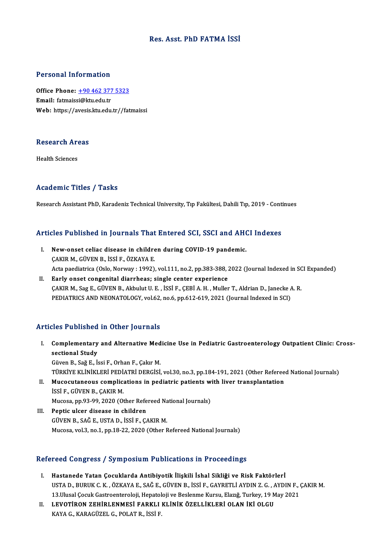### Res. Asst. PhD FATMA İSSİ

### Personal Information

Personal Information<br>Office Phone: <u>+90 462 377 5323</u><br>Email: fatmaissi@ku odu*t*r Fersonar miest macron<br>Office Phone: <u>+90 462 377</u><br>Email: fatmaissi@ktu.edu.tr Email: fatmaissi@ktu.edu.tr<br>Web: https://a[vesis.ktu.edu.tr//fat](tel:+90 462 377 5323)maissi

### research<br>Research Areas R<mark>esearch Ar</mark><br>Health Sciences

## Academic Titles / Tasks

Research Assistant PhD, Karadeniz Technical University, Tıp Fakültesi, Dahili Tıp, 2019 - Continues

# Research Assistant PhD, Karadeniz Technical University, Tip Fakultesi, Dahill Tip, 2019 - Conti<br>Articles Published in Journals That Entered SCI, SSCI and AHCI Indexes

- rticles Published in Journals That Entered SCI, SSCI and AHO<br>I. New-onset celiac disease in children during COVID-19 pandemic. I. New-onset celiac disease in children during COVID-19 pandemic.<br>CAKIRM., GÜVEN B., İSSİ F., ÖZKAYA E. New-onset celiac disease in children during COVID-19 pandemic.<br>ÇAKIR M., GÜVEN B., İSSİ F., ÖZKAYA E.<br>Acta paediatrica (Oslo, Norway : 1992), vol.111, no.2, pp.383-388, 2022 (Journal Indexed in SCI Expanded)<br>Farly onest so CAKIR M., GÜVEN B., ISSI F., ÖZKAYA E.<br>Acta paediatrica (Oslo, Norway : 1992), vol.111, no.2, pp.383-388, 2<br>II. Early onset congenital diarrheas; single center experience<br>CAKIP M. Sor E. CÜVEN P. Althulut U. E. ISSI E. CER
- Acta paediatrica (Oslo, Norway : 1992), vol.111, no.2, pp.383-388, 2022 (Journal Indexed in SC)<br>Early onset congenital diarrheas; single center experience<br>ÇAKIR M., Sag E., GÜVEN B., Akbulut U. E. , İSSİ F., ÇEBİ A. H. , M II. Early onset congenital diarrheas; single center experience<br>CAKIR M., Sag E., GÜVEN B., Akbulut U. E. , ISSI F., CEBI A. H. , Muller T., Aldrian D., Janecke A. R.<br>PEDIATRICS AND NEONATOLOGY, vol.62, no.6, pp.612-619, 20

### Articles Published in Other Journals

- rticles Published in Other Journals<br>I. Complementary and Alternative Medicine Use in Pediatric Gastroenterology Outpatient Clinic: Cross-<br>- sectional Study sectional Study<br>Sectional Study<br>Civer P. Seč E. L sectional Study<br>Güven B., Sağ E., İssi F., Orhan F., Çakır M. sectional Study<br>Güven B., Sağ E., İssi F., Orhan F., Çakır M.<br>TÜRKİYE KLİNİKLERİ PEDİATRİ DERGİSİ, vol.30, no.3, pp.184-191, 2021 (Other Refereed National Journals)<br>Musequtaneous somplicationa in podiatria pationta uith li Güven B., Sağ E., İssi F., Orhan F., Çakır M.<br>TÜRKİYE KLİNİKLERİ PEDİATRİ DERGİSİ, vol.30, no.3, pp.184-191, 2021 (Other Referee<br>II. Mucocutaneous complications in pediatric patients with liver transplantation<br>issi E. Cüve TÜRKİYE KLİNİKLERİ PEDİ.<br>Mucocutaneous complic:<br>İSSİ F., GÜVEN B., ÇAKIR M.<br>Musssa nr 93,99, 2020 (Qü
- II. Mucocutaneous complications in pediatric patients with liver transplantation<br>ISSI F., GÜVEN B., ÇAKIR M.<br>Mucosa, pp.93-99, 2020 (Other Refereed National Journals)
- III. Peptic ulcer disease in children GÜVENB.,SAĞE.,USTAD., İSSİF.,ÇAKIRM. Mucosa, vol.3, no.1, pp.18-22, 2020 (Other Refereed National Journals)

### Refereed Congress / Symposium Publications in Proceedings

- efereed Congress / Symposium Publications in Proceedings<br>I. Hastanede Yatan Çocuklarda Antibiyotik İlişkili İshal Sikliği ve Risk Faktörlerİ<br>ISTAD RUPUK G.K. ÖZKAYA E. SAĞE GÜVEN B. İSSİ E. GAYDETLİ AYDIN Z.G. AYDI TUCA UDIR, USU 7 UJ INPUDIANI TABIRCARDIN IN TYUCUCANGE<br>Hastanede Yatan Çocuklarda Antibiyotik İlişkili İshal Sikliği ve Risk Faktörlerİ<br>USTA D., BURUK C. K. , ÖZKAYA E., SAĞ E., GÜVEN B., İSSİ F., GAYRETLİ AYDIN Z. G. , A Hastanede Yatan Çocuklarda Antibiyotik İlişkili İshal Sikliği ve Risk Faktörlerİ<br>USTA D., BURUK C. K. , ÖZKAYA E., SAĞ E., GÜVEN B., İSSİ F., GAYRETLİ AYDIN Z. G. , AYDIN F., (<br>13.Ulusal Çocuk Gastroenteroloji, Hepatoloji USTA D., BURUK C. K. , ÖZKAYA E., SAĞ E., GÜVEN B., İSSİ F., GAYRETLİ AYDIN Z. G. , A<br>13.Ulusal Çocuk Gastroenteroloji, Hepatoloji ve Beslenme Kursu, Elazığ, Turkey, 19 M<br>II. LEVOTİRON ZEHİRLENMESİ FARKLI KLİNİK ÖZELLİKLER
- 13.Ulusal Çocuk Gastroenteroloji, Hepatoloji ve Beslenme Kursu, Elazığ, Turkey, 19 May 2021<br>II. LEVOTİRON ZEHİRLENMESİ FARKLI KLİNİK ÖZELLİKLERİ OLAN İKİ OLGU<br>KAYA G., KARAGÜZEL G., POLAT R., İSSİ F.